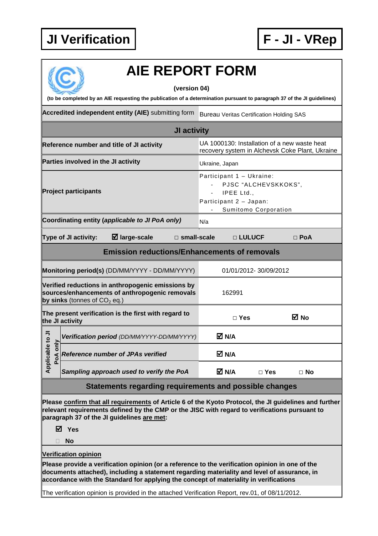

|                                                                         |                                     | <b>AIE REPORT FORM</b>                                                                                                                                                                                                                                                                                                                                                                      |                                                                  |                                              |                                                 |
|-------------------------------------------------------------------------|-------------------------------------|---------------------------------------------------------------------------------------------------------------------------------------------------------------------------------------------------------------------------------------------------------------------------------------------------------------------------------------------------------------------------------------------|------------------------------------------------------------------|----------------------------------------------|-------------------------------------------------|
|                                                                         |                                     | (version 04)<br>(to be completed by an AIE requesting the publication of a determination pursuant to paragraph 37 of the JI guidelines)                                                                                                                                                                                                                                                     |                                                                  |                                              |                                                 |
|                                                                         |                                     | Accredited independent entity (AIE) submitting form                                                                                                                                                                                                                                                                                                                                         | <b>Bureau Veritas Certification Holding SAS</b>                  |                                              |                                                 |
|                                                                         |                                     | JI activity                                                                                                                                                                                                                                                                                                                                                                                 |                                                                  |                                              |                                                 |
|                                                                         |                                     |                                                                                                                                                                                                                                                                                                                                                                                             | UA 1000130: Installation of a new waste heat                     |                                              |                                                 |
|                                                                         |                                     | Reference number and title of JI activity                                                                                                                                                                                                                                                                                                                                                   |                                                                  |                                              | recovery system in Alchevsk Coke Plant, Ukraine |
|                                                                         | Parties involved in the JI activity |                                                                                                                                                                                                                                                                                                                                                                                             | Ukraine, Japan                                                   |                                              |                                                 |
|                                                                         | <b>Project participants</b>         |                                                                                                                                                                                                                                                                                                                                                                                             | Participant 1 - Ukraine:<br>IPEE Ltd.,<br>Participant 2 - Japan: | PJSC "ALCHEVSKKOKS",<br>Sumitomo Corporation |                                                 |
|                                                                         |                                     | Coordinating entity (applicable to JI PoA only)                                                                                                                                                                                                                                                                                                                                             | N/a                                                              |                                              |                                                 |
|                                                                         | Type of JI activity:                | $\boxtimes$ large-scale<br>$\Box$ small-scale                                                                                                                                                                                                                                                                                                                                               |                                                                  | □ LULUCF                                     | $\square$ PoA                                   |
|                                                                         |                                     | <b>Emission reductions/Enhancements of removals</b>                                                                                                                                                                                                                                                                                                                                         |                                                                  |                                              |                                                 |
| Monitoring period(s) (DD/MM/YYYY - DD/MM/YYYY)<br>01/01/2012-30/09/2012 |                                     |                                                                                                                                                                                                                                                                                                                                                                                             |                                                                  |                                              |                                                 |
|                                                                         | by sinks (tonnes of $CO2$ eq.)      | Verified reductions in anthropogenic emissions by<br>sources/enhancements of anthropogenic removals                                                                                                                                                                                                                                                                                         | 162991                                                           |                                              |                                                 |
|                                                                         | the JI activity                     | The present verification is the first with regard to                                                                                                                                                                                                                                                                                                                                        | $\Box$ Yes                                                       |                                              | M No                                            |
| ⋾                                                                       |                                     | Verification period (DD/MM/YYYY-DD/MM/YYYY)                                                                                                                                                                                                                                                                                                                                                 | M N/A                                                            |                                              |                                                 |
| <b>Applicable to</b><br>PoA only                                        |                                     | <b>Reference number of JPAs verified</b>                                                                                                                                                                                                                                                                                                                                                    | M N/A                                                            |                                              |                                                 |
|                                                                         |                                     | Sampling approach used to verify the PoA                                                                                                                                                                                                                                                                                                                                                    | M N/A                                                            | $\Box$ Yes                                   | $\Box$ No                                       |
|                                                                         |                                     | Statements regarding requirements and possible changes                                                                                                                                                                                                                                                                                                                                      |                                                                  |                                              |                                                 |
|                                                                         | M Yes<br><b>No</b>                  | Please confirm that all requirements of Article 6 of the Kyoto Protocol, the JI guidelines and further<br>relevant requirements defined by the CMP or the JISC with regard to verifications pursuant to<br>paragraph 37 of the JI guidelines are met:                                                                                                                                       |                                                                  |                                              |                                                 |
|                                                                         | <b>Verification opinion</b>         | Please provide a verification opinion (or a reference to the verification opinion in one of the<br>documents attached), including a statement regarding materiality and level of assurance, in<br>accordance with the Standard for applying the concept of materiality in verifications<br>The verification opinion is provided in the attached Verification Report, rev.01, of 08/11/2012. |                                                                  |                                              |                                                 |
|                                                                         |                                     |                                                                                                                                                                                                                                                                                                                                                                                             |                                                                  |                                              |                                                 |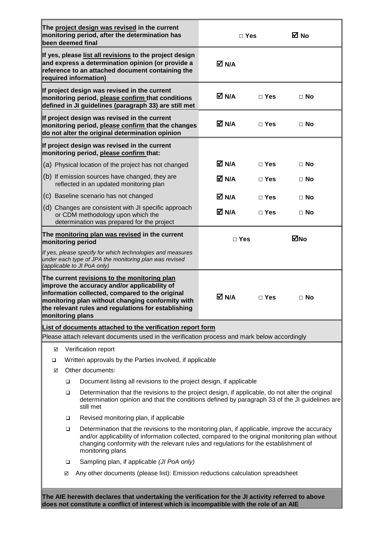|                   |        | The project design was revised in the current<br>monitoring period, after the determination has<br>been deemed final                                                                                                                                                                                        |            | $\Box$ Yes | M No      |
|-------------------|--------|-------------------------------------------------------------------------------------------------------------------------------------------------------------------------------------------------------------------------------------------------------------------------------------------------------------|------------|------------|-----------|
|                   |        | If yes, please list all revisions to the project design<br>and express a determination opinion (or provide a<br>reference to an attached document containing the<br>required information)                                                                                                                   | M N/A      |            |           |
|                   |        | If project design was revised in the current<br>monitoring period, please confirm that conditions<br>defined in JI guidelines (paragraph 33) are still met                                                                                                                                                  | M N/A      | $\Box$ Yes | $\Box$ No |
|                   |        | If project design was revised in the current<br>monitoring period, please confirm that the changes<br>do not alter the original determination opinion                                                                                                                                                       | M N/A      | $\Box$ Yes | $\Box$ No |
|                   |        | If project design was revised in the current<br>monitoring period, please confirm that:                                                                                                                                                                                                                     |            |            |           |
|                   |        | (a) Physical location of the project has not changed                                                                                                                                                                                                                                                        | M N⊿       | $\Box$ Yes | $\Box$ No |
|                   |        | (b) If emission sources have changed, they are<br>reflected in an updated monitoring plan                                                                                                                                                                                                                   | M N/A      | $\Box$ Yes | ⊟ No      |
|                   |        | (c) Baseline scenario has not changed                                                                                                                                                                                                                                                                       | M N/A      | $\Box$ Yes | $\Box$ No |
|                   |        | (d) Changes are consistent with JI specific approach<br>or CDM methodology upon which the<br>determination was prepared for the project                                                                                                                                                                     | M N/A      | $\Box$ Yes | $\Box$ No |
| monitoring period |        | The monitoring plan was revised in the current                                                                                                                                                                                                                                                              | $\Box$ Yes |            | ⊠No       |
|                   |        | If yes, please specify for which technologies and measures<br>under each type of JPA the monitoring plan was revised<br>(applicable to JI PoA only)                                                                                                                                                         |            |            |           |
| monitoring plans  |        | The current revisions to the monitoring plan<br>improve the accuracy and/or applicability of<br>information collected, compared to the original<br>monitoring plan without changing conformity with<br>the relevant rules and regulations for establishing                                                  | M N/A      | $\Box$ Yes | $\Box$ No |
|                   |        | List of documents attached to the verification report form                                                                                                                                                                                                                                                  |            |            |           |
|                   |        | Please attach relevant documents used in the verification process and mark below accordingly                                                                                                                                                                                                                |            |            |           |
| ☑                 |        | Verification report                                                                                                                                                                                                                                                                                         |            |            |           |
| $\Box$            |        | Written approvals by the Parties involved, if applicable                                                                                                                                                                                                                                                    |            |            |           |
| ☑                 |        | Other documents:                                                                                                                                                                                                                                                                                            |            |            |           |
|                   | □      | Document listing all revisions to the project design, if applicable                                                                                                                                                                                                                                         |            |            |           |
|                   | $\Box$ | Determination that the revisions to the project design, if applicable, do not alter the original<br>determination opinion and that the conditions defined by paragraph 33 of the JI guidelines are<br>still met                                                                                             |            |            |           |
|                   | $\Box$ | Revised monitoring plan, if applicable                                                                                                                                                                                                                                                                      |            |            |           |
|                   | $\Box$ | Determination that the revisions to the monitoring plan, if applicable, improve the accuracy<br>and/or applicability of information collected, compared to the original monitoring plan without<br>changing conformity with the relevant rules and regulations for the establishment of<br>monitoring plans |            |            |           |
|                   | □      | Sampling plan, if applicable (JI PoA only)                                                                                                                                                                                                                                                                  |            |            |           |
|                   | ☑      | Any other documents (please list): Emission reductions calculation spreadsheet                                                                                                                                                                                                                              |            |            |           |
|                   |        | The AIE herewith declares that undertaking the verification for the JI activity referred to above<br>does not constitute a conflict of interest which is incompatible with the role of an AIE                                                                                                               |            |            |           |